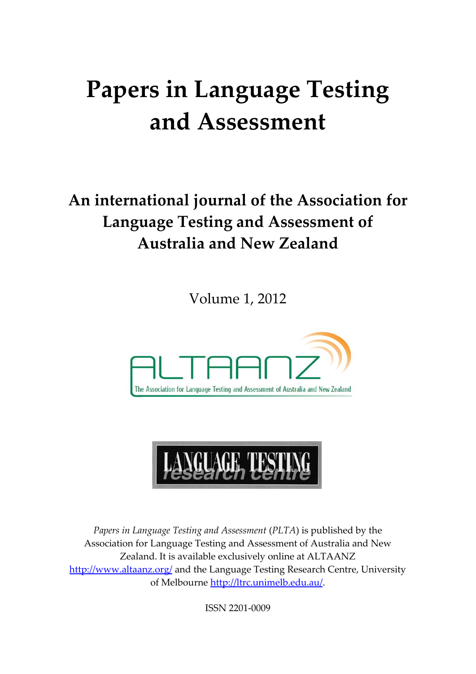# **Papers in Language Testing and Assessment**

# **An international journal of the Association for Language Testing and Assessment of Australia and New Zealand**

Volume 1, 2012





*Papers in Language Testing and Assessment* (*PLTA*) is published by the Association for Language Testing and Assessment of Australia and New Zealand. It is available exclusively online at ALTAANZ <http://www.altaanz.org/> and the Language Testing Research Centre, University of Melbourne [http://ltrc.unimelb.edu.au/.](http://ltrc.unimelb.edu.au/)

ISSN 2201-0009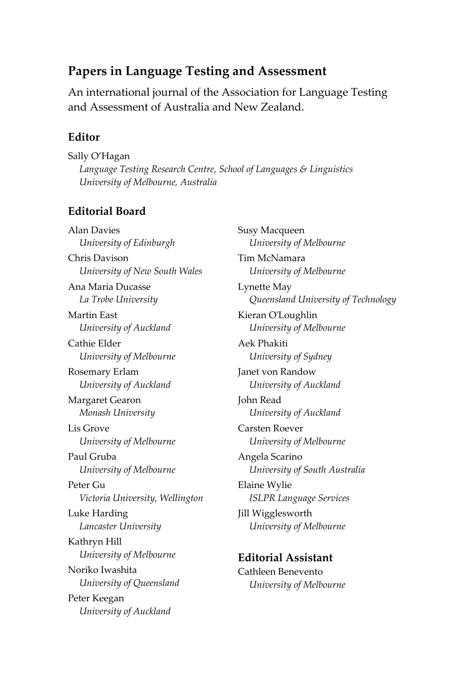#### **Papers in Language Testing and Assessment**

An international journal of the Association for Language Testing and Assessment of Australia and New Zealand.

#### **Editor**

Sally O'Hagan *Language Testing Research Centre, School of Languages & Linguistics University of Melbourne, Australia*

#### **Editorial Board**

Alan Davies *University of Edinburgh*  Chris Davison *University of New South Wales* Ana Maria Ducasse *La Trobe University* Martin East *University of Auckland* Cathie Elder *University of Melbourne* Rosemary Erlam *University of Auckland* Margaret Gearon *Monash University* Lis Grove *University of Melbourne* Paul Gruba *University of Melbourne* Peter Gu *Victoria University, Wellington* Luke Harding *Lancaster University* Kathryn Hill *University of Melbourne* Noriko Iwashita *University of Queensland* Peter Keegan *University of Auckland*

Susy Macqueen *University of Melbourne* Tim McNamara *University of Melbourne* Lynette May *Queensland University of Technology* Kieran O'Loughlin *University of Melbourne* Aek Phakiti *University of Sydney* Janet von Randow *University of Auckland* John Read *University of Auckland* Carsten Roever *University of Melbourne* Angela Scarino *University of South Australia* Elaine Wylie *ISLPR Language Services* Jill Wigglesworth *University of Melbourne* **Editorial Assistant** Cathleen Benevento *University of Melbourne*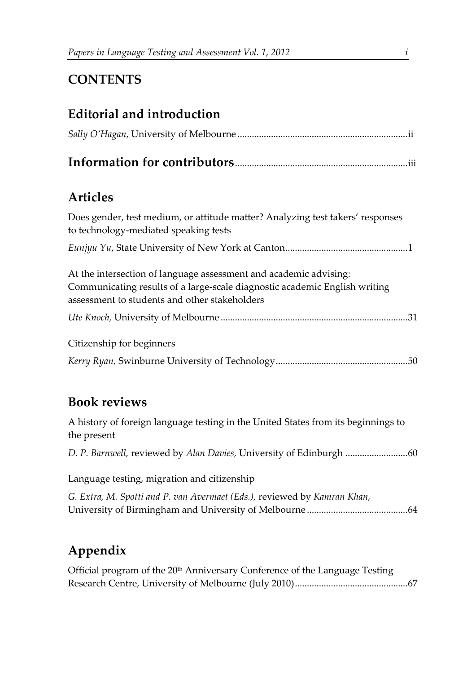### **CONTENTS**

#### **Editorial and introduction**

|--|--|--|--|--|--|

## **Articles**

| Does gender, test medium, or attitude matter? Analyzing test takers' responses<br>to technology-mediated speaking tests |
|-------------------------------------------------------------------------------------------------------------------------|
|                                                                                                                         |
| At the intersection of language assessment and academic advising:                                                       |
| Communicating results of a large-scale diagnostic academic English writing                                              |
| assessment to students and other stakeholders                                                                           |
|                                                                                                                         |
| Citizenship for beginners                                                                                               |
|                                                                                                                         |

#### **Book reviews**

A history of foreign language testing in the United States from its beginnings to the present *D. P. Barnwell,* reviewed by *Alan Davies,* University of Edinburgh ..........................60 Language testing, migration and citizenship *G. Extra, M. Spotti and P. van Avermaet (Eds.),* reviewed by *Kamran Khan,*  University of Birmingham and University of Melbourne ..........................................64

## **Appendix**

| Official program of the 20 <sup>th</sup> Anniversary Conference of the Language Testing |  |
|-----------------------------------------------------------------------------------------|--|
|                                                                                         |  |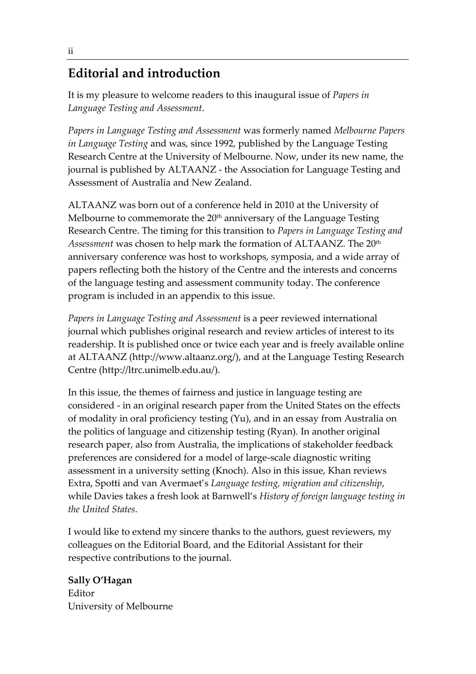#### **Editorial and introduction**

It is my pleasure to welcome readers to this inaugural issue of *Papers in Language Testing and Assessment*.

*Papers in Language Testing and Assessment* was formerly named *Melbourne Papers in Language Testing* and was, since 1992, published by the Language Testing Research Centre at the University of Melbourne. Now, under its new name, the journal is published by ALTAANZ - the Association for Language Testing and Assessment of Australia and New Zealand.

ALTAANZ was born out of a conference held in 2010 at the University of Melbourne to commemorate the  $20<sup>th</sup>$  anniversary of the Language Testing Research Centre. The timing for this transition to *Papers in Language Testing and Assessment* was chosen to help mark the formation of ALTAANZ. The 20th anniversary conference was host to workshops, symposia, and a wide array of papers reflecting both the history of the Centre and the interests and concerns of the language testing and assessment community today. The conference program is included in an appendix to this issue.

*Papers in Language Testing and Assessment* is a peer reviewed international journal which publishes original research and review articles of interest to its readership. It is published once or twice each year and is freely available online at ALTAANZ (http://www.altaanz.org/), and at the Language Testing Research Centre (http://ltrc.unimelb.edu.au/).

In this issue, the themes of fairness and justice in language testing are considered - in an original research paper from the United States on the effects of modality in oral proficiency testing (Yu), and in an essay from Australia on the politics of language and citizenship testing (Ryan). In another original research paper, also from Australia, the implications of stakeholder feedback preferences are considered for a model of large-scale diagnostic writing assessment in a university setting (Knoch). Also in this issue, Khan reviews Extra, Spotti and van Avermaet's *Language testing, migration and citizenship*, while Davies takes a fresh look at Barnwell's *History of foreign language testing in the United States*.

I would like to extend my sincere thanks to the authors, guest reviewers, my colleagues on the Editorial Board, and the Editorial Assistant for their respective contributions to the journal.

**Sally O'Hagan** Editor University of Melbourne